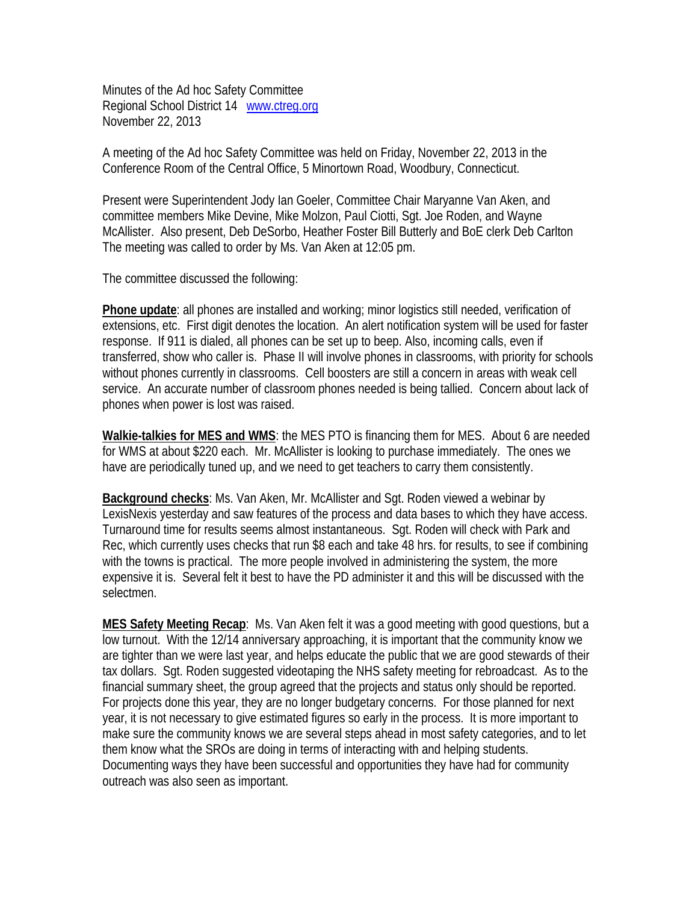Minutes of the Ad hoc Safety Committee Regional School District 14 www.ctreg.org November 22, 2013

A meeting of the Ad hoc Safety Committee was held on Friday, November 22, 2013 in the Conference Room of the Central Office, 5 Minortown Road, Woodbury, Connecticut.

Present were Superintendent Jody Ian Goeler, Committee Chair Maryanne Van Aken, and committee members Mike Devine, Mike Molzon, Paul Ciotti, Sgt. Joe Roden, and Wayne McAllister. Also present, Deb DeSorbo, Heather Foster Bill Butterly and BoE clerk Deb Carlton The meeting was called to order by Ms. Van Aken at 12:05 pm.

The committee discussed the following:

**Phone update**: all phones are installed and working; minor logistics still needed, verification of extensions, etc. First digit denotes the location. An alert notification system will be used for faster response. If 911 is dialed, all phones can be set up to beep. Also, incoming calls, even if transferred, show who caller is. Phase II will involve phones in classrooms, with priority for schools without phones currently in classrooms. Cell boosters are still a concern in areas with weak cell service. An accurate number of classroom phones needed is being tallied. Concern about lack of phones when power is lost was raised.

**Walkie-talkies for MES and WMS**: the MES PTO is financing them for MES. About 6 are needed for WMS at about \$220 each. Mr. McAllister is looking to purchase immediately. The ones we have are periodically tuned up, and we need to get teachers to carry them consistently.

**Background checks**: Ms. Van Aken, Mr. McAllister and Sgt. Roden viewed a webinar by LexisNexis yesterday and saw features of the process and data bases to which they have access. Turnaround time for results seems almost instantaneous. Sgt. Roden will check with Park and Rec, which currently uses checks that run \$8 each and take 48 hrs. for results, to see if combining with the towns is practical. The more people involved in administering the system, the more expensive it is. Several felt it best to have the PD administer it and this will be discussed with the selectmen.

**MES Safety Meeting Recap**: Ms. Van Aken felt it was a good meeting with good questions, but a low turnout. With the 12/14 anniversary approaching, it is important that the community know we are tighter than we were last year, and helps educate the public that we are good stewards of their tax dollars. Sgt. Roden suggested videotaping the NHS safety meeting for rebroadcast. As to the financial summary sheet, the group agreed that the projects and status only should be reported. For projects done this year, they are no longer budgetary concerns. For those planned for next year, it is not necessary to give estimated figures so early in the process. It is more important to make sure the community knows we are several steps ahead in most safety categories, and to let them know what the SROs are doing in terms of interacting with and helping students. Documenting ways they have been successful and opportunities they have had for community outreach was also seen as important.